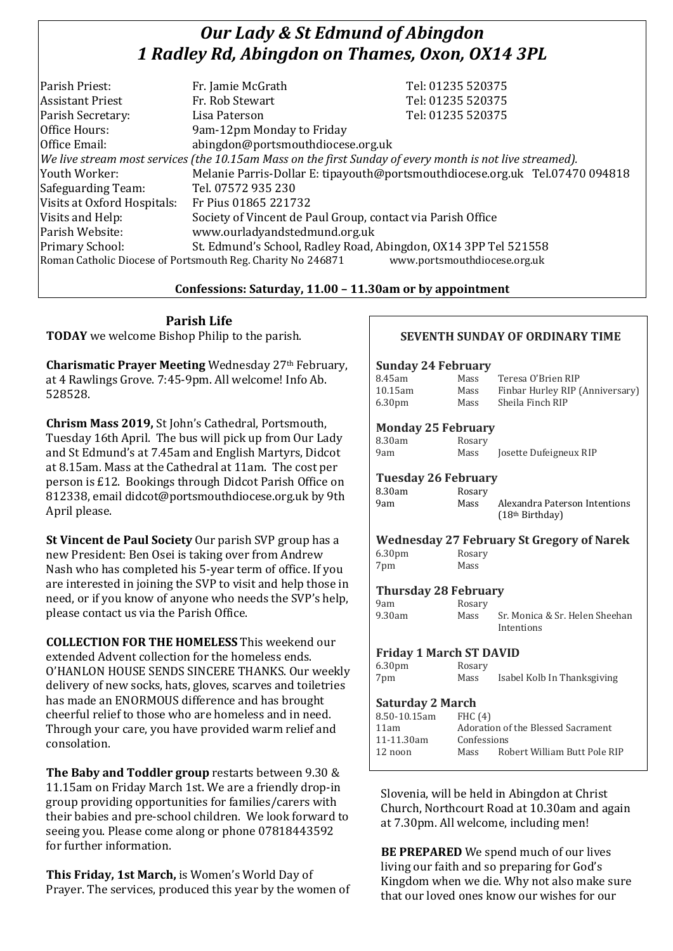# *Our Lady & St Edmund of Abingdon 1 Radley Rd, Abingdon on Thames, Oxon, OX14 3PL*

| Parish Priest:              | Fr. Jamie McGrath                                                                                        | Tel: 01235 520375                                                            |
|-----------------------------|----------------------------------------------------------------------------------------------------------|------------------------------------------------------------------------------|
|                             |                                                                                                          |                                                                              |
| <b>Assistant Priest</b>     | Fr. Rob Stewart                                                                                          | Tel: 01235 520375                                                            |
| Parish Secretary:           | Lisa Paterson                                                                                            | Tel: 01235 520375                                                            |
| Office Hours:               | 9am-12pm Monday to Friday                                                                                |                                                                              |
| Office Email:               | abingdon@portsmouthdiocese.org.uk                                                                        |                                                                              |
|                             | We live stream most services (the 10.15am Mass on the first Sunday of every month is not live streamed). |                                                                              |
| Youth Worker:               |                                                                                                          | Melanie Parris-Dollar E: tipayouth@portsmouthdiocese.org.uk Tel.07470 094818 |
| Safeguarding Team:          | Tel. 07572 935 230                                                                                       |                                                                              |
| Visits at Oxford Hospitals: | Fr Pius 01865 221732                                                                                     |                                                                              |
| Visits and Help:            | Society of Vincent de Paul Group, contact via Parish Office                                              |                                                                              |
| Parish Website:             | www.ourladyandstedmund.org.uk                                                                            |                                                                              |
| Primary School:             | St. Edmund's School, Radley Road, Abingdon, OX14 3PP Tel 521558                                          |                                                                              |
|                             | Roman Catholic Diocese of Portsmouth Reg. Charity No 246871                                              | www.portsmouthdiocese.org.uk                                                 |

### **Confessions: Saturday, 11.00 – 11.30am or by appointment**

**Parish Life TODAY** we welcome Bishop Philip to the parish.

**Charismatic Prayer Meeting** Wednesday 27<sup>th</sup> February, at 4 Rawlings Grove. 7:45-9pm. All welcome! Info Ab. 528528.

**Chrism Mass 2019,** St John's Cathedral, Portsmouth, Tuesday 16th April. The bus will pick up from Our Lady and St Edmund's at 7.45am and English Martyrs, Didcot at 8.15am. Mass at the Cathedral at 11am. The cost per person is £12. Bookings through Didcot Parish Office on 812338, email didcot@portsmouthdiocese.org.uk by 9th April please.

**St Vincent de Paul Society** Our parish SVP group has a new President: Ben Osei is taking over from Andrew Nash who has completed his 5-year term of office. If you are interested in joining the SVP to visit and help those in need, or if you know of anyone who needs the SVP's help, please contact us via the Parish Office.

**COLLECTION FOR THE HOMELESS** This weekend our extended Advent collection for the homeless ends. O'HANLON HOUSE SENDS SINCERE THANKS. Our weekly delivery of new socks, hats, gloves, scarves and toiletries has made an ENORMOUS difference and has brought cheerful relief to those who are homeless and in need. Through your care, you have provided warm relief and consolation.

**The Baby and Toddler group** restarts between 9.30 & 11.15am on Friday March 1st. We are a friendly drop-in group providing opportunities for families/carers with their babies and pre-school children. We look forward to seeing you. Please come along or phone 07818443592 for further information.

**This Friday, 1st March,** is Women's World Day of Prayer. The services, produced this year by the women of

### **SEVENTH SUNDAY OF ORDINARY TIME**

#### **Sunday 24 February**

|      | Teresa O'Brien RIP              |
|------|---------------------------------|
| Mass | Finbar Hurley RIP (Anniversary) |
| Mass | Sheila Finch RIP                |
|      | Mass                            |

#### **Monday 25 February**

| 8.30am | Rosary |                        |
|--------|--------|------------------------|
| 9am    | Mass   | Josette Dufeigneux RIP |

#### **Tuesday 26 February**

| 8.30am | Rosary |                               |
|--------|--------|-------------------------------|
| 9am    | Mass   | Alexandra Paterson Intentions |
|        |        | (18 <sup>th</sup> Birthday)   |

#### **Wednesday 27 February St Gregory of Narek** 6.30pm Rosary

7pm Mass

**Thursday 28 February** 9am Rosary<br>9.30am Mass

Mass Sr. Monica & Sr. Helen Sheehan Intentions

# **Friday 1 March ST DAVID**

| 6.30pm | Rosary |                             |
|--------|--------|-----------------------------|
| 7pm    | Mass   | Isabel Kolb In Thanksgiving |

## **Saturday 2 March**

| 8.50-10.15am | FHC(4)      |                                    |
|--------------|-------------|------------------------------------|
| 11am         |             | Adoration of the Blessed Sacrament |
| 11-11.30am   | Confessions |                                    |
| 12 noon      | Mass        | Robert William Butt Pole RIP       |
|              |             |                                    |

Slovenia, will be held in Abingdon at Christ Church, Northcourt Road at 10.30am and again at 7.30pm. All welcome, including men!

**BE PREPARED** We spend much of our lives living our faith and so preparing for God's Kingdom when we die. Why not also make sure that our loved ones know our wishes for our